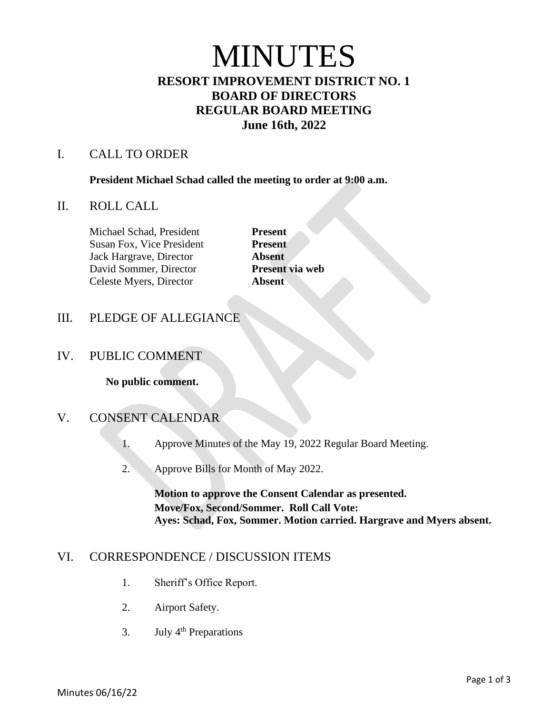# MINUTES

# **RESORT IMPROVEMENT DISTRICT NO. 1 BOARD OF DIRECTORS REGULAR BOARD MEETING June 16th, 2022**

#### I. CALL TO ORDER

**President Michael Schad called the meeting to order at 9:00 a.m.**

#### II. ROLL CALL

Michael Schad, President **Present** Susan Fox, Vice President **Present** Jack Hargrave, Director **Absent** David Sommer, Director **Present via web** Celeste Myers, Director **Absent**

## III. PLEDGE OF ALLEGIANCE

## IV. PUBLIC COMMENT

**No public comment.**

## V. CONSENT CALENDAR

- 1. Approve Minutes of the May 19, 2022 Regular Board Meeting.
- 2. Approve Bills for Month of May 2022.

**Motion to approve the Consent Calendar as presented. Move/Fox, Second/Sommer. Roll Call Vote: Ayes: Schad, Fox, Sommer. Motion carried. Hargrave and Myers absent.** 

## VI. CORRESPONDENCE / DISCUSSION ITEMS

- 1. Sheriff's Office Report.
- 2. Airport Safety.
- 3. July  $4<sup>th</sup>$  Preparations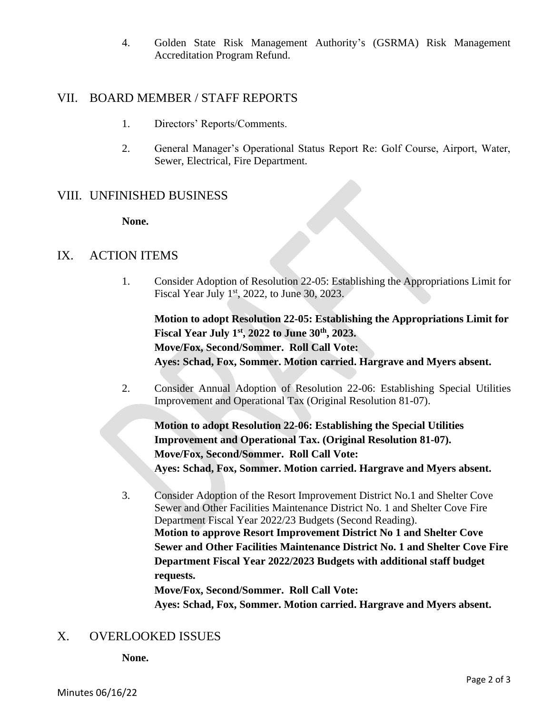4. Golden State Risk Management Authority's (GSRMA) Risk Management Accreditation Program Refund.

#### VII. BOARD MEMBER / STAFF REPORTS

- 1. Directors' Reports/Comments.
- 2. General Manager's Operational Status Report Re: Golf Course, Airport, Water, Sewer, Electrical, Fire Department.

## VIII. UNFINISHED BUSINESS

**None.**

#### IX. ACTION ITEMS

1. Consider Adoption of Resolution 22-05: Establishing the Appropriations Limit for Fiscal Year July  $1<sup>st</sup>$ , 2022, to June 30, 2023.

**Motion to adopt Resolution 22-05: Establishing the Appropriations Limit for Fiscal Year July 1st, 2022 to June 30th, 2023. Move/Fox, Second/Sommer. Roll Call Vote: Ayes: Schad, Fox, Sommer. Motion carried. Hargrave and Myers absent.** 

2. Consider Annual Adoption of Resolution 22-06: Establishing Special Utilities Improvement and Operational Tax (Original Resolution 81-07).

**Motion to adopt Resolution 22-06: Establishing the Special Utilities Improvement and Operational Tax. (Original Resolution 81-07). Move/Fox, Second/Sommer. Roll Call Vote: Ayes: Schad, Fox, Sommer. Motion carried. Hargrave and Myers absent.** 

3. Consider Adoption of the Resort Improvement District No.1 and Shelter Cove Sewer and Other Facilities Maintenance District No. 1 and Shelter Cove Fire Department Fiscal Year 2022/23 Budgets (Second Reading). **Motion to approve Resort Improvement District No 1 and Shelter Cove Sewer and Other Facilities Maintenance District No. 1 and Shelter Cove Fire Department Fiscal Year 2022/2023 Budgets with additional staff budget requests. Move/Fox, Second/Sommer. Roll Call Vote:**

**Ayes: Schad, Fox, Sommer. Motion carried. Hargrave and Myers absent.** 

## X. OVERLOOKED ISSUES

**None.**